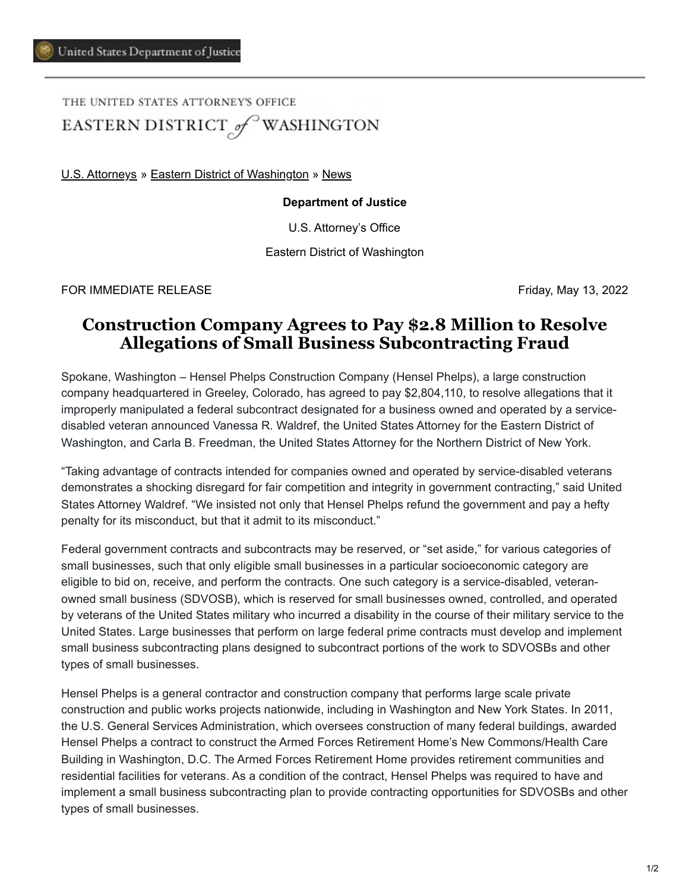THE UNITED STATES ATTORNEY'S OFFICE EASTERN DISTRICT of WASHINGTON

[U.S. Attorneys](https://www.justice.gov/usao) » [Eastern District of Washington](https://www.justice.gov/usao-edwa) » [News](https://www.justice.gov/usao-edwa/pr)

## **Department of Justice**

U.S. Attorney's Office

Eastern District of Washington

FOR IMMEDIATE RELEASE FREERS FRIDAGE SERVICE AND THE SERVICE SERVICE SERVICE SERVICE SERVICE SERVICE SERVICE S

## **Construction Company Agrees to Pay \$2.8 Million to Resolve Allegations of Small Business Subcontracting Fraud**

Spokane, Washington – Hensel Phelps Construction Company (Hensel Phelps), a large construction company headquartered in Greeley, Colorado, has agreed to pay \$2,804,110, to resolve allegations that it improperly manipulated a federal subcontract designated for a business owned and operated by a servicedisabled veteran announced Vanessa R. Waldref, the United States Attorney for the Eastern District of Washington, and Carla B. Freedman, the United States Attorney for the Northern District of New York.

"Taking advantage of contracts intended for companies owned and operated by service-disabled veterans demonstrates a shocking disregard for fair competition and integrity in government contracting," said United States Attorney Waldref. "We insisted not only that Hensel Phelps refund the government and pay a hefty penalty for its misconduct, but that it admit to its misconduct."

Federal government contracts and subcontracts may be reserved, or "set aside," for various categories of small businesses, such that only eligible small businesses in a particular socioeconomic category are eligible to bid on, receive, and perform the contracts. One such category is a service-disabled, veteranowned small business (SDVOSB), which is reserved for small businesses owned, controlled, and operated by veterans of the United States military who incurred a disability in the course of their military service to the United States. Large businesses that perform on large federal prime contracts must develop and implement small business subcontracting plans designed to subcontract portions of the work to SDVOSBs and other types of small businesses.

Hensel Phelps is a general contractor and construction company that performs large scale private construction and public works projects nationwide, including in Washington and New York States. In 2011, the U.S. General Services Administration, which oversees construction of many federal buildings, awarded Hensel Phelps a contract to construct the Armed Forces Retirement Home's New Commons/Health Care Building in Washington, D.C. The Armed Forces Retirement Home provides retirement communities and residential facilities for veterans. As a condition of the contract, Hensel Phelps was required to have and implement a small business subcontracting plan to provide contracting opportunities for SDVOSBs and other types of small businesses.